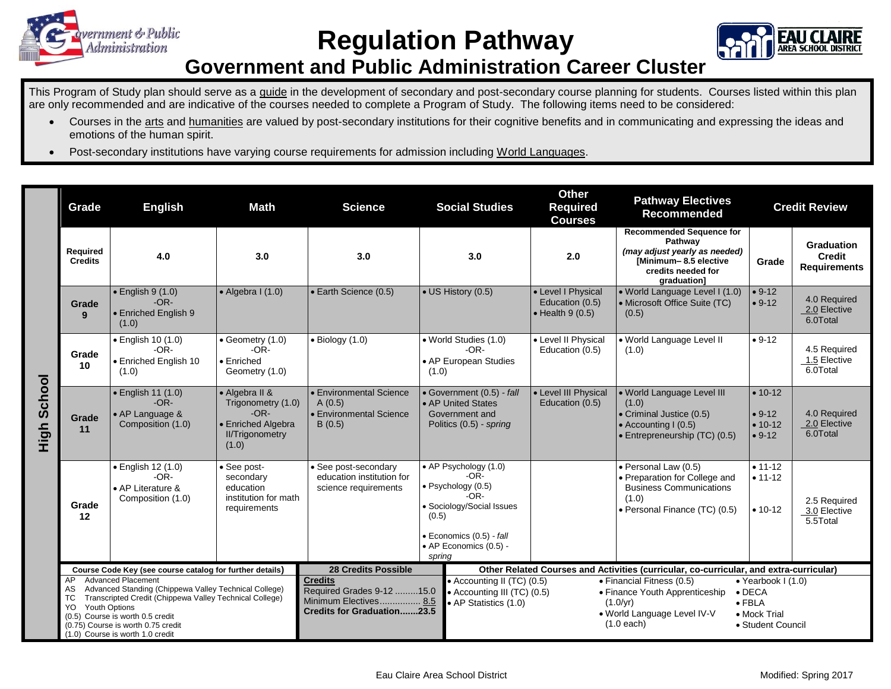

**Regulation Pathway**



## **Government and Public Administration Career Cluster**

This Program of Study plan should serve as a guide in the development of secondary and post-secondary course planning for students. Courses listed within this plan are only recommended and are indicative of the courses needed to complete a Program of Study. The following items need to be considered:

- Courses in the arts and humanities are valued by post-secondary institutions for their cognitive benefits and in communicating and expressing the ideas and emotions of the human spirit.
- Post-secondary institutions have varying course requirements for admission including World Languages.

|                | Grade                                                                                                                                                                                                                                                                                                  | <b>English</b><br>Math                                                                                                                                                                                                               |                                                                    | <b>Social Studies</b><br><b>Science</b>                                                                                                                                       |                                                                                              | <b>Other</b><br><b>Required</b><br><b>Courses</b>                                                                                                                                                                                                                                                   | <b>Pathway Electives</b><br>Recommended                                                                                  | <b>Credit Review</b>                     |                                                    |  |
|----------------|--------------------------------------------------------------------------------------------------------------------------------------------------------------------------------------------------------------------------------------------------------------------------------------------------------|--------------------------------------------------------------------------------------------------------------------------------------------------------------------------------------------------------------------------------------|--------------------------------------------------------------------|-------------------------------------------------------------------------------------------------------------------------------------------------------------------------------|----------------------------------------------------------------------------------------------|-----------------------------------------------------------------------------------------------------------------------------------------------------------------------------------------------------------------------------------------------------------------------------------------------------|--------------------------------------------------------------------------------------------------------------------------|------------------------------------------|----------------------------------------------------|--|
|                | Required<br><b>Credits</b>                                                                                                                                                                                                                                                                             | 4.0                                                                                                                                                                                                                                  | 3.0                                                                | 3.0                                                                                                                                                                           | Pathway<br>3.0<br>2.0<br>credits needed for<br>graduation]                                   |                                                                                                                                                                                                                                                                                                     | <b>Recommended Sequence for</b><br>(may adjust yearly as needed)<br>[Minimum-8.5 elective                                | Grade                                    | Graduation<br><b>Credit</b><br><b>Requirements</b> |  |
| School<br>High | Grade<br>9                                                                                                                                                                                                                                                                                             | $\cdot$ English 9 (1.0)<br>$-OR-$<br><b>Enriched English 9</b><br>(1.0)                                                                                                                                                              | $\bullet$ Algebra I (1.0)                                          | Earth Science (0.5)                                                                                                                                                           | • US History (0.5)                                                                           | • Level I Physical<br>Education (0.5)<br>$\bullet$ Health 9 (0.5)                                                                                                                                                                                                                                   | · World Language Level I (1.0)<br>• Microsoft Office Suite (TC)<br>(0.5)                                                 | $• 9-12$<br>$• 9-12$                     | 4.0 Required<br>2.0 Elective<br>6.0Total           |  |
|                | Grade<br>10                                                                                                                                                                                                                                                                                            | · English 10 (1.0)<br>$-OR-$<br>• Enriched English 10<br>(1.0)                                                                                                                                                                       | • Geometry (1.0)<br>$-OR-$<br>$\bullet$ Enriched<br>Geometry (1.0) | $\bullet$ Biology (1.0)                                                                                                                                                       | • World Studies (1.0)<br>$-OR-$<br>• AP European Studies<br>(1.0)                            | • Level II Physical<br>Education (0.5)                                                                                                                                                                                                                                                              | · World Language Level II<br>(1.0)                                                                                       | $• 9-12$                                 | 4.5 Required<br>1.5 Elective<br>6.0Total           |  |
|                | Grade<br>11                                                                                                                                                                                                                                                                                            | • English 11 (1.0)<br>• Algebra II &<br>$-OR-$<br>Trigonometry (1.0)<br>A(0.5)<br>$-OR-$<br>• AP Language &<br>Composition (1.0)<br>• Enriched Algebra<br>B(0.5)<br><b>II/Trigonometry</b><br>(1.0)                                  |                                                                    | Environmental Science<br>Environmental Science                                                                                                                                | • Government (0.5) - fall<br>• AP United States<br>Government and<br>Politics (0.5) - spring | • Level III Physical<br>Education (0.5)                                                                                                                                                                                                                                                             | . World Language Level III<br>(1.0)<br>• Criminal Justice (0.5)<br>• Accounting I (0.5)<br>• Entrepreneurship (TC) (0.5) |                                          | 4.0 Required<br>2.0 Elective<br>6.0Total           |  |
|                | Grade<br>12                                                                                                                                                                                                                                                                                            | · English 12 (1.0)<br>• See post-secondary<br>• See post-<br>$-OR-$<br>education institution for<br>secondary<br>education<br>science requirements<br>• AP Literature &<br>institution for math<br>Composition (1.0)<br>requirements |                                                                    | • AP Psychology (1.0)<br>$-OR-$<br>· Psychology (0.5)<br>$-OR-$<br>· Sociology/Social Issues<br>(0.5)<br>$\bullet$ Economics (0.5) - fall<br>• AP Economics (0.5) -<br>spring |                                                                                              | · Personal Law (0.5)<br>• Preparation for College and<br><b>Business Communications</b><br>(1.0)<br>• Personal Finance (TC) (0.5)                                                                                                                                                                   | $• 11 - 12$<br>$• 11 - 12$<br>$• 10-12$                                                                                  | 2.5 Required<br>3.0 Elective<br>5.5Total |                                                    |  |
|                | Course Code Key (see course catalog for further details)                                                                                                                                                                                                                                               |                                                                                                                                                                                                                                      |                                                                    | <b>28 Credits Possible</b>                                                                                                                                                    |                                                                                              | Other Related Courses and Activities (curricular, co-curricular, and extra-curricular)                                                                                                                                                                                                              |                                                                                                                          |                                          |                                                    |  |
|                | <b>Advanced Placement</b><br>AP.<br>Advanced Standing (Chippewa Valley Technical College)<br>AS<br>Transcripted Credit (Chippewa Valley Technical College)<br>TC<br>Youth Options<br>YO.<br>(0.5) Course is worth 0.5 credit<br>(0.75) Course is worth 0.75 credit<br>(1.0) Course is worth 1.0 credit |                                                                                                                                                                                                                                      |                                                                    | <b>Credits</b><br>Required Grades 9-12 15.0<br>Minimum Electives 8.5<br><b>Credits for Graduation23.5</b>                                                                     | • AP Statistics (1.0)                                                                        | • Accounting II (TC) (0.5)<br>• Financial Fitness (0.5)<br>$\bullet$ Yearbook I (1.0)<br>• Accounting III (TC) (0.5)<br>• Finance Youth Apprenticeship<br>$\bullet$ DECA<br>$(1.0/\text{yr})$<br>$\bullet$ FBLA<br>. World Language Level IV-V<br>• Mock Trial<br>$(1.0$ each)<br>• Student Council |                                                                                                                          |                                          |                                                    |  |